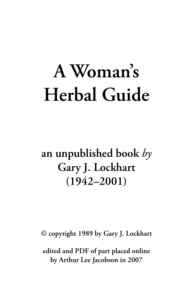# **A Woman's Herbal Guide**

### **an unpublished book** *by* **Gary J. Lockhart (1942–2001)**

**© copyright 1989 by Gary J. Lockhart**

**edited and PDF of part placed online by Arthur Lee Jacobson in 2007**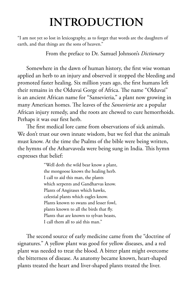### **INTRODUCTION**

"I am not yet so lost in lexicography, as to forget that words are the daughters of earth, and that things are the sons of heaven."

From the preface to Dr. Samuel Johnson's *Dictionary*

Somewhere in the dawn of human history, the first wise woman applied an herb to an injury and observed it stopped the bleeding and promoted faster healing. Six million years ago, the first humans left their remains in the Olduvai Gorge of Africa. The name "Olduvai" is an ancient African name for "Sansevieria," a plant now growing in many American homes. The leaves of the *Sansevieria* are a popular African injury remedy, and the roots are chewed to cure hemorrhoids. Perhaps it was our first herb.

The first medical lore came from observations of sick animals. We don't trust our own innate wisdom, but we feel that the animals must know. At the time the Psalms of the bible were being written, the hymns of the Atharvaveda were being sung in India. This hymn expresses that belief:

> "Well doth the wild bear know a plant, the mongoose knows the healing herb. I call to aid this man, the plants which serpents and Gandharvas know. Plants of Angirases which hawks, celestial plants which eagles know. Plants known to swans and lesser fowl, plants known to all the birds that fly. Plants that are known to sylvan beasts, I call them all to aid this man."

The second source of early medicine came from the "doctrine of signatures." A yellow plant was good for yellow diseases, and a red plant was needed to treat the blood. A bitter plant might overcome the bitterness of disease. As anatomy became known, heart-shaped plants treated the heart and liver-shaped plants treated the liver.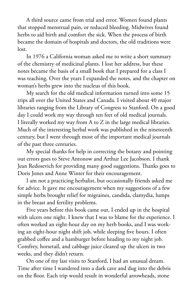A third source came from trial and error. Women found plants that stopped menstrual pain, or reduced bleeding. Midwives found herbs to aid birth and comfort the sick. When the process of birth became the domain of hospitals and doctors, the old traditions were lost.

In 1976 a California woman asked me to write a short summary of the chemistry of medicinal plants. I lost her address, but these notes became the basis of a small book that I prepared for a class I was teaching. Over the years I expanded the notes, and the chapter on woman's herbs grew into the nucleus of this book.

My search for the old medical information turned into some 15 trips all over the United States and Canada. I visited about 40 major libraries ranging from the Library of Congress to Stanford. On a good day I could work my way through ten feet of old medical journals. I literally worked my way from A to Z in the large medical libraries. Much of the interesting herbal work was published in the nineteenth century, but I went through most of the important medical journals of the past three centuries.

My special thanks for help in correcting the botany and pointing out errors goes to Steve Antonow and Arthur Lee Jacobson. I thank Jean Redosevich for providing many good suggestions. Thanks goes to Doris Jones and Anne Winter for their encouragement.

I am not a practicing herbalist, but occasionally friends asked me for advice. It gave me encouragement when my suggestions of a few simple herbs brought relief for migraines, candida, clamydia, lumps in the breast and fertility problems.

Five years before this book came out, I ended up in the hospital with ulcers one night. I knew that I was to blame for the experience. I often worked an eight-hour day on my herb books, and I was working an eight-hour night shift job, while sleeping five hours. I often grabbed coffee and a hamburger before heading to my night job. Comfrey, horsetail, and cabbage juice cleared up the ulcers in two weeks, and they didn't return.

On one of my last visits to Stanford, I had an unusual dream. Time after time I wandered into a dark cave and dug into the debris on the floor. Each trip would result in wonderful arrowheads, stone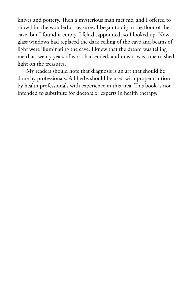knives and pottery. Then a mysterious man met me, and I offered to show him the wonderful treasures. I began to dig in the floor of the cave, but I found it empty. I felt disappointed, so I looked up. Now glass windows had replaced the dark ceiling of the cave and beams of light were illuminating the cave. I knew that the dream was telling me that twenty years of work had ended, and now it was time to shed light on the treasures.

My readers should note that diagnosis is an art that should be done by professionals. All herbs should be used with proper caution by health professionals with experience in this area. This book is not intended to substitute for doctors or experts in health therapy.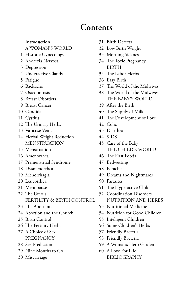### **Contents**

#### A WOMAN'S WORLD 32 Low Birth Weight

- Historic Gynecology 33 Morning Sickness
- 
- Depression BIRTH
- Underactive Glands 35 The Labor Herbs
- 
- 
- 
- 
- 
- 
- 
- 12 The Urinary Herbs 42 Colic
- Varicose Veins 43 Diarrhea
- Herbal Weight Reduction 44 SIDS MENSTRUATION 45 Care of the Baby
- 
- 
- 17 Premenstrual Syndrome 47 Bedwetting
- Dysmenorrhea 48 Earache
- 
- Leucorrhea 50 Parasites
- 
- The Uterus 52 Coordination Disorders FERTILITY & BIRTH CONTROL NUTRITION AND HERBS
- 
- 
- 
- 
- 27 A Choice of Sex 57 Friendly Bacteria
- 
- 29 Nine Months to Go 60 A Love For Life
- 
- **Introduction** 31 Birth Defects
	-
	-
- Anorexia Nervosa 34 The Toxic Pregnancy
	-
- Fatigue 36 Easy Birth
- Backache 37 The World of the Midwives
- Osteoporosis 38 The World of the Midwives Breast Disorders THE BABY'S WORLD
- Breast Cancer 39 After the Birth
- Candida 40 The Supply of Milk
- Cystitis 41 The Development of Love
	-
	-
	-
- Menstruation THE CHILD'S WORLD
- Amenorrhea 46 The First Foods
	-
	-
- Menorrhagia 49 Dreams and Nightmares
	-
- Menopause 51 The Hyperactive Child
	-
- The Abortants 53 Nutritional Medicine
- 24 Abortion and the Church 54 Nutrition for Good Children
- Birth Control 55 Intelligent Children
- 26 The Fertility Herbs 56 Some Children's Herbs
	-
	- PREGNANCY 58 Friendly Bacteria
- Sex Prediction 59 A Woman's Herb Garden
- 30 Miscarriage BIBLIOGRAPHY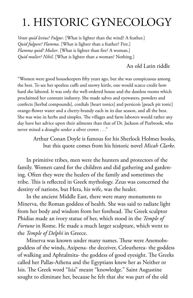### 1. HISTORIC GYNECOLOGY

*Vente quid levius? Fulgur*. [What is lighter than the wind? A feather.] *Quid fulgure? Flamma*. [What is lighter than a feather? Fire.] *Flamma quid? Mulier*. [What is lighter than fire? A woman.] *Quid mulier? Nihil*. [What is lighter than a woman? Nothing.]

#### An old Latin riddle

"Women were good housekeepers fifty years ago, but she was conspicuous among the best. To see her spotless cuffs and snowy kirtle, one would scarce credit how hard she labored. It was only the well-ordered house and the dustless rooms which proclaimed her constant industry. She made salves and eyewaters, powders and confects [herbal compounds], cordials [heart tonics] and persicoís [peach pit tonic] orange-flower water and a cherry-brandy each in its due season, and all the best. She was wise in herbs and simples. The villages and farm laborers would rather any day have her advice upon their ailments than that of Dr. Jackson of Purbrook, who never mixed a draught under a silver crown . . ."

Arthur Conan Doyle is famous for his Sherlock Holmes books, but this quote comes from his historic novel *Micah Clarke*.

In primitive tribes, men were the hunters and protectors of the family. Women cared for the children and did gathering and gardening. Often they were the healers of the family and sometimes the tribe. This is reflected in Greek mythology. Zeus was concerned the destiny of nations, but Hera, his wife, was the healer.

In the ancient Middle East, there were many monuments to Minerva, the Roman goddess of health. She was said to radiate light from her body and wisdom from her forehead. The Greek sculptor Phidias made an ivory statue of her, which stood in the *Temple of Fortune* in Rome. He made a much larger sculpture, which went to the *Temple of Delphi* in Greece.

Minerva was known under many names. These were Anemobsgoddess of the winds, Axipena- the deceiver, Celeutherea- the goddess of walking and Aphtalmita- the goddess of good eyesight. The Greeks called her Pallas-Athena and the Egyptians knew her as Neither or Isis. The Greek word "Isia" meant "knowledge." Saint Augustine sought to eliminate her, because he felt that she was part of the old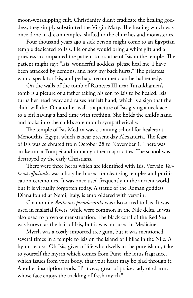moon-worshipping cult. Christianity didn't eradicate the healing goddess, they simply substituted the Virgin Mary. The healing which was once done in dream temples, shifted to the churches and monasteries.

Four thousand years ago a sick person might come to an Egyptian temple dedicated to Isis. He or she would bring a white gift and a priestess accompanied the patient to a statue of Isis in the temple. The patient might say: "Isis, wonderful goddess, please heal me. I have been attacked by demons, and now my back hurts." The priestess would speak for Isis, and perhaps recommend an herbal remedy.

On the walls of the tomb of Rameses III near Tutankhamen's tomb is a picture of a father taking his son to Isis to be healed. Isis turns her head away and raises her left hand, which is a sign that the child will die. On another wall is a picture of Isis giving a necklace to a girl having a hard time with teething. She holds the child's hand and looks into the child's sore mouth sympathetically.

The temple of Isis Medica was a training school for healers at Menouthis, Egypt, which is near present day Alexandria. The feast of Isis was celebrated from October 28 to November 1. There was an Iseum at Pompei and in many other major cities. The school was destroyed by the early Christians.

There were three herbs which are identified with Isis. Vervain *Verbena officinalis* was a holy herb used for cleansing temples and purification ceremonies. It was once used frequently in the ancient world, but it is virtually forgotten today. A statue of the Roman goddess Diana found at Nemi, Italy, is embroidered with vervain.

Chamomile *Anthemis pseudocotula* was also sacred to Isis. It was used in malarial fevers, while were common in the Nile delta. It was also used to provoke menstruation. The black coral of the Red Sea was known as the hair of Isis, but it was not used in Medicine.

Myrrh was a costly imported tree gum, but it was mentioned several times in a temple to Isis on the island of Philae in the Nile. A hymn reads: "Oh Isis, giver of life who dwells in the pure island, take to yourself the myrrh which comes from Punt, the lotus fragrance, which issues from your body, that your heart may be glad through it." Another inscription reads: "Princess, great of praise, lady of charm, whose face enjoys the trickling of fresh myrrh."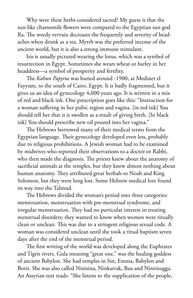Why were these herbs considered sacred? My guess is that the sun-like chamomile flowers were compared to the Egyptian sun god Ra. The weedy vervain decreases the frequently and severity of headaches when drunk as a tea. Myrrh was the preferred incense of the ancient world, but it is also a strong immune stimulant.

Isis is usually pictured wearing the lotus, which was a symbol of resurrection in Egypt. Sometimes she wears wheat or barley in her headdress—a symbol of prosperity and fertility.

The *Kahun Papyrus* was buried around -1900, at Medinet el Fayyum, to the south of Cairo, Egypt. It is badly fragmented, but it gives us an idea of gynecology 4,000 years ago. It is written in a mix of red and black ink. One prescription goes like this: "Instruction for a woman suffering in her pubic region and vagina. [in red ink] You should tell her that it is swollen as a result of giving birth. [In black ink] You should prescribe new oil poured into her vagina."

The Hebrews borrowed many of their medical terms from the Egyptian language. Their gynecology developed even less, probably due to religious prohibitions. A Jewish woman had to be examined by midwives who reported their observations to a doctor or Rabbi, who then made the diagnosis. The priests knew about the anatomy of sacrificial animals at the temples, but they knew almost nothing about human anatomy. They attributed great herbals to Noah and King Solomon, but they were long lost. Some Hebrew medical lore found its way into the Talmud.

The Hebrews divided the woman's period into three categories: menstruation, menstruation with pre-menstrual syndrome, and irregular menstruation. They had no particular interest in treating menstrual disorders; they wanted to know when women were ritually clean or unclean. This was due to a stringent religious sexual code. A woman was considered unclean until she took a ritual baptism seven days after the end of the menstrual period.

The first writing of the world was developed along the Euphrates and Tigris rivers. Gula meaning "great one," was the healing goddess of ancient Babylon. She had temples in Sin, Emma, Babylon and Boris. She was also called Ninisina, Ninkarrak, Bau and Nintinugga. An Assyrian text reads: "She listens to the supplication of the people,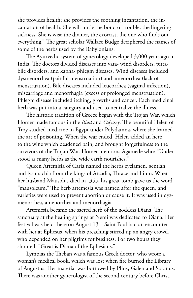she provides health; she provides the soothing incantation, the incantation of health. She will untie the bond of trouble, the lingering sickness. She is wise the diviner, the exorcist, the one who finds out everything." The great scholar Wallace Budge deciphered the names of some of the herbs used by the Babylonians.

The Ayurvedic system of gynecology developed 3,000 years ago in India. The doctors divided diseases into vata- wind disorders, pittabile disorders, and kapha- phlegm diseases. Wind diseases included dysmenorrhea (painful menstruation) and amenorrhea (lack of menstruation). Bile diseases included leucorrhea (vaginal infection), miscarriage and menorrhagia (excess or prolonged menstruation). Phlegm disease included itching, growths and cancer. Each medicinal herb was put into a category and used to neutralize the illness.

The historic tradition of Greece began with the Trojan War, which Homer made famous in the *Iliad* and *Odyssey*. The beautiful Helen of Troy studied medicine in Egypt under Polydamna, where she learned the art of poisoning. When the war ended, Helen added an herb to the wine which deadened pain, and brought forgetfulness to the survivors of the Trojan War. Homer mentions Agamede who: "Understood as many herbs as the wide earth nourishes."

Queen Artemisia of Caria named the herbs cyclamen, gentian and lysimachia from the kings of Arcadia, Thrace and Ilium. When her husband Mausolus died in -355, his great tomb gave us the word "mausoleum." The herb artemesia was named after the queen, and varieties were used to prevent abortion or cause it. It was used in dysmenorrhea, amenorrhea and menorrhagia.

Artemesia became the sacred herb of the goddess Diana. The sanctuary at the healing springs at Nemi was dedicated to Diana. Her festival was held there on August  $13<sup>th</sup>$ . Saint Paul had an encounter with her at Ephesus, when his preaching stirred up an angry crowd, who depended on her pilgrims for business. For two hours they shouted: "Great is Diana of the Ephesians."

Lympias the Theban was a famous Greek doctor, who wrote a woman's medical book, which was lost when fire burned the Library of Augustus. Her material was borrowed by Pliny, Galen and Soranus. There was another gynecologist of the second century before Christ.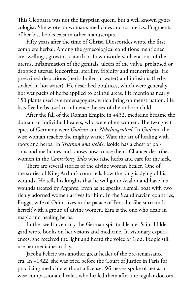This Cleopatra was not the Egyptian queen, but a well known gynecologist. She wrote on woman's medicines and cosmetics. Fragments of her lost books exist in other manuscripts.

Fifty years after the time of Christ, Dioscorides wrote the first complete herbal. Among the gynecological conditions mentioned are swellings, growths, catarrh or flow disorders, ulcerations of the uterus, inflammation of the genitals, ulcers of the vulva, prolapsed or dropped uterus, leucorrhea, sterility, frigidity and menorrhagia. He prescribed decoctions (herbs boiled in water) and infusions (herbs soaked in hot water). He described poultices, which were generally hot wet packs of herbs applied to painful areas. He mentions nearly 150 plants used as emmenagogues, which bring on menstruation. He lists five herbs used to influence the sex of the unborn child.

After the fall of the Roman Empire in +432, medicine became the domain of individual healers, who were often women. The two great epics of Germany were *Gudrun* and *Nibelungenlied*. In *Gudrun*, the wise woman teaches the mighty warier Wate the art of healing with roots and herbs. In *Tristram and Isolde*, Isolde has a chest of poisons and medicines and knows how to use them. Chaucer describes women in the *Canterbury Tales* who raise herbs and care for the sick.

There are several stories of the divine woman healer. One of the stories of King Arthur's court tells how the king is dying of his wounds. He tells his knights that he will go to Avalon and have his wounds treated by Argante. Even as he speaks, a small boat with two richly adorned women arrives for him. In the Scandinavian countries, Frigga, wife of Odin, lives in the palace of Fensalir. She surrounds herself with a group of divine women. Eira is the one who deals in magic and healing herbs.

In the twelfth century the German spiritual leader Saint Hildegard wrote books on her visions and medicine. In visionary experiences, she received the light and heard the voice of God. People still use her medicines today.

Jacoba Felicie was another great healer of the pre-renaissance era. In +1322, she was tried before the Court of Justice in Paris for practicing medicine without a license. Witnesses spoke of her as a wise compassionate healer, who healed them after the regular doctors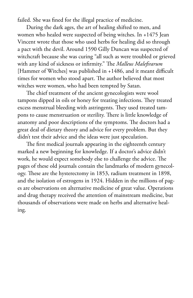failed. She was fined for the illegal practice of medicine.

During the dark ages, the art of healing shifted to men, and women who healed were suspected of being witches. In +1475 Jean Vincent wrote that those who used herbs for healing did so through a pact with the devil. Around 1590 Gilly Duncan was suspected of witchcraft because she was curing "all such as were troubled or grieved with any kind of sickness or infirmity." The *Malleus Malefirarum* [Hammer of Witches] was published in +1486, and it meant difficult times for women who stood apart. The author believed that most witches were women, who had been tempted by Satan.

The chief treatment of the ancient gynecologists were wool tampons dipped in oils or honey for treating infections. They treated excess menstrual bleeding with astringents. They used treated tampons to cause menstruation or sterility. There is little knowledge of anatomy and poor descriptions of the symptoms. The doctors had a great deal of dietary theory and advice for every problem. But they didn't test their advice and the ideas were just speculation.

The first medical journals appearing in the eighteenth century marked a new beginning for knowledge. If a doctor's advice didn't work, he would expect somebody else to challenge the advice. The pages of these old journals contain the landmarks of modern gynecology. These are the hysterectomy in 1853, radium treatment in 1898, and the isolation of estrogens in 1924. Hidden in the millions of pages are observations on alternative medicine of great value. Operations and drug therapy received the attention of mainstream medicine, but thousands of observations were made on herbs and alternative healing.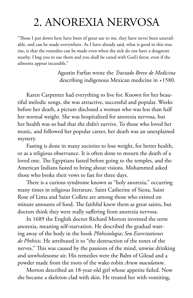### 2. ANOREXIA NERVOSA

"Those I put down here have been of great use to me, they have never been unavailable, and can be made everywhere. As I have already said, what is good in this treatise, is that the remedies can be made even when the sick do not have a drugstore nearby. I beg you to use them and you shall be cured with God's favor, even if the ailments appear incurable."

> Agustin Farfan wrote the *Tractado Breve de Medicina* describing indigenous Mexican medicine in +1580.

Karen Carpenter had everything to live for. Known for her beautiful melodic songs, she was attractive, successful and popular. Weeks before her death, a picture disclosed a woman who was less than half her normal weight. She was hospitalized for anorexia nervosa, but her health was so bad that she didn't survive. To those who loved her music, and followed her popular career, her death was an unexplained mystery.

Fasting is done in many societies to lose weight, for better health, or as a religious observance. It is often done to mourn the death of a loved one. The Egyptians fasted before going to the temples, and the American Indians fasted to bring about visions. Mohammed asked those who broke their vows to fast for three days.

There is a curious syndrome known as "holy anorexia," occurring many times in religious literature. Saint Catherine of Siena, Saint Rose of Lima and Saint Collete are among those who existed on minute amounts of food. The faithful knew them as great saints, but doctors think they were really suffering from anorexia nervosa.

In 1689 the English doctor Richard Morton invented the term anorexia, meaning self-starvation. He described the gradual wasting away of the body in the book *Phthisiologia; Seu Exercitationes de Phthisis*. He attributed it to "the destruction of the tones of the nerves." This was caused by the passions of the mind, unwise drinking and unwholesome air. His remedies were the Balm of Gilead and a powder made from the roots of the wake-robin *Arum maculatum*.

Morton described an 18-year-old girl whose appetite failed. Now she became a skeleton clad with skin. He treated her with vomiting,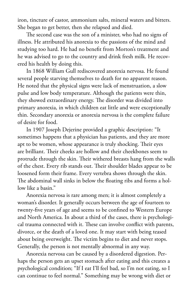iron, tincture of castor, ammonium salts, mineral waters and bitters. She began to get better, then she relapsed and died.

The second case was the son of a minister, who had no signs of illness. He attributed his anorexia to the passions of the mind and studying too hard. He had no benefit from Morton's treatment and he was advised to go to the country and drink fresh milk. He recovered his health by doing this.

In 1868 William Gull rediscovered anorexia nervosa. He found several people starving themselves to death for no apparent reason. He noted that the physical signs were lack of menstruation, a slow pulse and low body temperature. Although the patients were thin, they showed extraordinary energy. The disorder was divided into primary anorexia, in which children eat little and were exceptionally thin. Secondary anorexia or anorexia nervosa is the complete failure of desire for food.

In 1907 Joseph Dejerine provided a graphic description: "It sometimes happens that a physician has patients, and they are more apt to be women, whose appearance is truly shocking. Their eyes are brilliant. Their cheeks are hollow and their cheekbones seem to protrude through the skin. Their withered breasts hang from the walls of the chest. Every rib stands out. Their shoulder blades appear to be loosened form their frame. Every vertebra shows through the skin. The abdominal wall sinks in below the floating ribs and forms a hollow like a basin."

Anorexia nervosa is rare among men; it is almost completely a woman's disorder. It generally occurs between the age of fourteen to twenty-five years of age and seems to be confined to Western Europe and North America. In about a third of the cases, there is psychological trauma connected with it. These can involve conflict with parents, divorce, or the death of a loved one. It may start with being teased about being overweight. The victim begins to diet and never stops. Generally, the person is not mentally abnormal in any way.

Anorexia nervosa can be caused by a disordered digestion. Perhaps the person gets an upset stomach after eating and this creates a psychological condition; "If I eat I'll feel bad, so I'm not eating, so I can continue to feel normal." Something may be wrong with diet or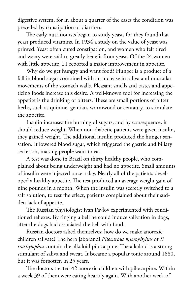digestive system, for in about a quarter of the cases the condition was preceded by constipation or diarrhea.

The early nutritionists began to study yeast, for they found that yeast produced vitamins. In 1934 a study on the value of yeast was printed. Yeast often cured constipation, and women who felt tired and weary were said to greatly benefit from yeast. Of the 24 women with little appetite, 21 reported a major improvement in appetite.

Why do we get hungry and want food? Hunger is a product of a fall in blood sugar combined with an increase in saliva and muscular movements of the stomach walls. Pleasant smells and tastes and appetizing foods increase this desire. A well-known tool for increasing the appetite is the drinking of bitters. These are small portions of bitter herbs, such as quinine, gentian, wormwood or centaury, to stimulate the appetite.

Insulin increases the burning of sugars, and by consequence, it should reduce weight. When non-diabetic patients were given insulin, they gained weight. The additional insulin produced the hunger sensation. It lowered blood sugar, which triggered the gastric and biliary secretion, making people want to eat.

A test was done in Brazil on thirty healthy people, who complained about being underweight and had no appetite. Small amounts of insulin were injected once a day. Nearly all of the patients developed a healthy appetite. The test produced an average weight gain of nine pounds in a month. When the insulin was secretly switched to a salt solution, to test the effect, patients complained about their sudden lack of appetite.

The Russian physiologist Ivan Pavlov experimented with conditioned reflexes. By ringing a bell he could induce salivation in dogs, after the dogs had associated the bell with food.

Russian doctors asked themselves: how do we make anorexic children salivate? The herb jaborandi *Pilocarpus microphyllus* or *P. trachylophus* contain the alkaloid pilocarpine. The alkaloid is a strong stimulant of saliva and sweat. It became a popular tonic around 1880, but it was forgotten in 25 years.

The doctors treated 42 anorexic children with pilocarpine. Within a week 39 of them were eating heartily again. With another week of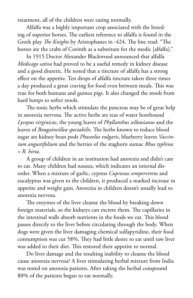treatment, all of the children were eating normally.

Alfalfa was a highly important crop associated with the breeding of superior horses. The earliest reference to alfalfa is found in the Greek play *The Knights* by Aristophanes in -424. The line read: "The horses ate the crabs of Corinth as a substitute for the medic [alfalfa]."

In 1915 Doctor Alexander Blackwood announced that alfalfa *Medicago sativa* had proved to be a useful remedy in kidney disease and a good diuretic. He noted that a tincture of alfalfa has a strong effect on the appetite. Ten drops of alfalfa tincture taken three times a day produced a great craving for food even between meals. This was true for both humans and guinea pigs. It also changed the stools from hard lumps to softer stools.

The tonic herbs which stimulate the pancreas may be of great help in anorexia nervosa. The active herbs are teas of water horehound *Lycopus virginicus*, the young leaves of *Phyllanthus sellowianus* and the leaves of *Bougainvillea spectabilis*. The herbs known to reduce blood sugar are kidney bean pods *Phaseolus vulgaris*, blueberry leaves *Vaccinium angustifolium* and the berries of the staghorn sumac *Rhus typhina* = *R. hirta*.

A group of children in an institution had anorexia and didn't care to eat. Many children had nausea, which indicates an internal disorder. When a mixture of garlic, cypress *Cupressus sempervirens* and eucalyptus was given to the children, it produced a marked increase in appetite and weight gain. Anorexia in children doesn't usually lead to anorexia nervosa.

The enzymes of the liver cleanse the blood by breaking down foreign materials, so the kidneys can excrete them. The capillaries in the intestinal walls absorb nutrients in the foods we eat. This blood passes directly to the liver before circulating through the body. When dogs were given the liver damaging chemical sulfapyridine, their food consumption was cut 58%. They had little desire to eat until raw liver was added to their diet. This restored their appetite to normal.

Do liver damage and the resulting inability to cleanse the blood cause anorexia nervosa? A liver stimulating herbal mixture from India was tested on anorexia patients. After taking the herbal compound 80% of the patients began to eat normally.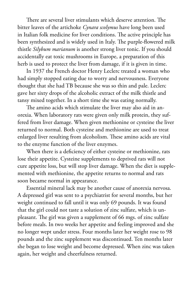There are several liver stimulants which deserve attention. The bitter leaves of the artichoke *Cynara scolymus* have long been used in Italian folk medicine for liver conditions. The active principle has been synthesized and is widely used in Italy. The purple-flowered milk thistle *Silybum marianum* is another strong liver tonic. If you should accidentally eat toxic mushrooms in Europe, a preparation of this herb is used to protect the liver from damage, if it is given in time.

In 1937 the French doctor Henry Leclerc treated a woman who had simply stopped eating due to worry and nervousness. Everyone thought that she had TB because she was so thin and pale. Leclerc gave her sixty drops of the alcoholic extract of the milk thistle and tansy mixed together. In a short time she was eating normally.

The amino acids which stimulate the liver may also aid in anorexia. When laboratory rats were given only milk protein, they suffered from liver damage. When given methionine or cysteine the liver returned to normal. Both cysteine and methionine are used to treat enlarged liver resulting from alcoholism. These amino acids are vital to the enzyme function of the liver enzymes.

When there is a deficiency of either cysteine or methionine, rats lose their appetite. Cysteine supplements to deprived rats will not cure appetite loss, but will stop liver damage. When the diet is supplemented with methionine, the appetite returns to normal and rats soon became normal in appearance.

Essential mineral lack may be another cause of anorexia nervosa. A depressed girl was sent to a psychiatrist for several months, but her weight continued to fall until it was only 69 pounds. It was found that the girl could not taste a solution of zinc sulfate, which is unpleasant. The girl was given a supplement of 66 mgs. of zinc sulfate before meals. In two weeks her appetite and feeling improved and she no longer wept under stress. Four months later her weight rose to 98 pounds and the zinc supplement was discontinued. Ten months later she began to lose weight and become depressed. When zinc was taken again, her weight and cheerfulness returned.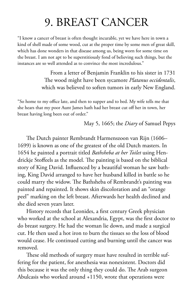### 9. BREAST CANCER

"I know a cancer of breast is often thought incurable, yet we have here in town a kind of shell made of some wood, cut at the proper time by some men of great skill, which has done wonders in that disease among us, being worn for some time on the breast. I am not apt to be superstitiously fond of believing such things, but the instances are so well attended as to convince the most incredulous."

> From a letter of Benjamin Franklin to his sister in 1731 The wood might have been sycamore *Platanus occidentalis*, which was believed to soften tumors in early New England.

"So home to my office late, and then to supper and to bed. My wife tells me that she hears that my poor Aunt James hath had her breast cut off her in town, her breast having long been out of order."

May 5, 1665; the *Diary* of Samuel Pepys

The Dutch painter Rembrandt Harmenszoon van Rijn (1606– 1699) is known as one of the greatest of the old Dutch masters. In 1654 he painted a portrait titled *Bathsheba at her Toilet* using Hendrickje Stoffeels as the model. The painting is based on the biblical story of King David. Influenced by a beautiful woman he saw bathing, King David arranged to have her husband killed in battle so he could marry the widow. The Bathsheba of Rembrandt's painting was painted and repainted. It shows skin discoloration and an "orange peel" marking on the left breast. Afterwards her health declined and she died seven years later.

History records that Leonides, a first century Greek physician who worked at the school at Alexandria, Egypt, was the first doctor to do breast surgery. He had the woman lie down, and made a surgical cut. He then used a hot iron to burn the tissues so the loss of blood would cease. He continued cutting and burning until the cancer was removed.

These old methods of surgery must have resulted in terrible suffering for the patient, for anesthesia was nonexistent. Doctors did this because it was the only thing they could do. The Arab surgeon Abulcasis who worked around +1150, wrote that operations were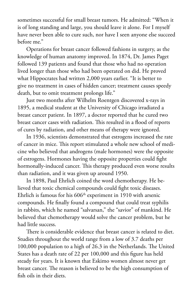sometimes successful for small breast tumors. He admitted: "When it is of long standing and large, you should leave it alone. For I myself have never been able to cure such, nor have I seen anyone else succeed before me."

Operations for breast cancer followed fashions in surgery, as the knowledge of human anatomy improved. In 1874, Dr. James Paget followed 139 patients and found that those who had no operation lived longer than those who had been operated on did. He proved what Hippocrates had written 2,000 years earlier. "It is better to give no treatment in cases of hidden cancer; treatment causes speedy death, but to omit treatment prolongs life."

Just two months after Wilhelm Roentgen discovered x-rays in 1895, a medical student at the University of Chicago irradiated a breast cancer patient. In 1897, a doctor reported that he cured two breast cancer cases with radiation. This resulted in a flood of reports of cures by radiation, and other means of therapy were ignored.

In 1936, scientists demonstrated that estrogens increased the rate of cancer in mice. This report stimulated a whole new school of medicine who believed that androgens (male hormones) were the opposite of estrogens. Hormones having the opposite properties could fight hormonally-induced cancer. This therapy produced even worse results than radiation, and it was given up around 1950.

In 1898, Paul Ehrlich coined the word chemotherapy. He believed that toxic chemical compounds could fight toxic diseases. Ehrlich is famous for his  $606<sup>th</sup>$  experiment in 1910 with arsenic compounds. He finally found a compound that could treat syphilis in rabbits, which he named "salvarsan," the "savior" of mankind. He believed that chemotherapy would solve the cancer problem, but he had little success.

There is considerable evidence that breast cancer is related to diet. Studies throughout the world range from a low of 3.7 deaths per 100,000 population to a high of 26.3 in the Netherlands. The United States has a death rate of 22 per 100,000 and this figure has held steady for years. It is known that Eskimo women almost never get breast cancer. The reason is believed to be the high consumption of fish oils in their diets.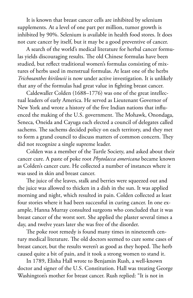It is known that breast cancer cells are inhibited by selenium supplements. At a level of one part per million, tumor growth is inhibited by 90%. Selenium is available in health food stores. It does not cure cancer by itself, but it may be a good preventive of cancer.

A search of the world's medical literature for herbal cancer formulas yields discouraging results. The old Chinese formulas have been studied, but reflect traditional women's formulas consisting of mixtures of herbs used in menstrual formulas. At least one of the herbs *Trichosanthes kirilowii* is now under active investigation. It is unlikely that any of the formulas had great value in fighting breast cancer.

Caldewaller Colden (1688–1776) was one of the great intellectual leaders of early America. He served as Lieutenant Governor of New York and wrote a history of the five Indian nations that influenced the making of the U.S. government. The Mohawk, Onondaga, Seneca, Oneida and Cayuga each elected a council of delegates called sachems. The sachems decided policy on each territory, and they met to form a grand council to discuss matters of common concern. They did not recognize a single supreme leader.

Colden was a member of the Turtle Society, and asked about their cancer cure. A paste of poke root *Phytolacca americana* became known as Colden's cancer cure. He collected a number of instances where it was used in skin and breast cancer.

The juice of the leaves, stalk and berries were squeezed out and the juice was allowed to thicken in a dish in the sun. It was applied morning and night, which resulted in pain. Colden collected as least four stories where it had been successful in curing cancer. In one example, Hanna Murray consulted surgeons who concluded that it was breast cancer of the worst sort. She applied the plaster several times a day, and twelve years later she was free of the disorder.

The poke root remedy is found many times in nineteenth century medical literature. The old doctors seemed to cure some cases of breast cancer, but the results weren't as good as they hoped. The herb caused quite a bit of pain, and it took a strong women to stand it.

In 1789, Elisha Hall wrote to Benjamin Rush, a well-known doctor and signer of the U.S. Constitution. Hall was treating George Washington's mother for breast cancer. Rush replied: "It is not in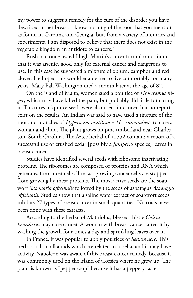my power to suggest a remedy for the cure of the disorder you have described in her breast. I know nothing of the root that you mention as found in Carolina and Georgia, but, from a variety of inquiries and experiments, I am disposed to believe that there does not exist in the vegetable kingdom an antidote to cancers."

Rush had once tested Hugh Martin's cancer formula and found that it was arsenic, good only for external cancer and dangerous to use. In this case he suggested a mixture of opium, camphor and red clover. He hoped this would enable her to live comfortably for many years. Mary Ball Washington died a month later at the age of 82.

On the island of Malta, women sued a poultice of *Hyoscyamus niger*, which may have killed the pain, but probably did little for curing it. Tinctures of quince seeds were also used for cancer, but no reports exist on the results. An Indian was said to have used a tincture of the root and branches of *Hypericum mutilum = H. crux-andreae* to cure a woman and child. The plant grows on pine timberland near Charleston, South Carolina. The Aztec herbal of +1552 contains a report of a successful use of crushed cedar [possibly a *Juniperus* species] leaves in breast cancer.

Studies have identified several seeds with ribosome inactivating proteins. The ribosomes are composed of proteins and RNA which generates the cancer cells. The fast growing cancer cells are stopped from growing by these proteins. The most active seeds are the soapwort *Saponaria officinalis* followed by the seeds of asparagus *Asparagus officinalis*. Studies show that a saline water extract of soapwort seeds inhibits 27 types of breast cancer in small quantities. No trials have been done with these extracts.

According to the herbal of Mathiolus, blessed thistle *Cnicus benedictus* may cure cancer. A woman with breast cancer cured it by washing the growth four times a day and sprinkling leaves over it.

In France, it was popular to apply poultices of *Sedum acre*. This herb is rich in alkaloids which are related to lobelia, and it may have activity. Napoleon was aware of this breast cancer remedy, because it was commonly used on the island of Corsica where he grew up. The plant is known as "pepper crop" because it has a peppery taste.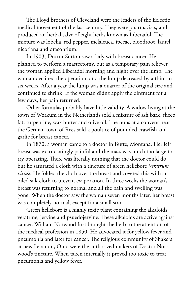The Lloyd brothers of Cleveland were the leaders of the Eclectic medical movement of the last century. They were pharmacists, and produced an herbal salve of eight herbs known as Liberadol. The mixture was lobelia, red pepper, melaleuca, ipecac, bloodroot, laurel, nicotiana and dracontium.

In 1903, Doctor Sutton saw a lady with breast cancer. He planned to perform a mastectomy, but as a temporary pain reliever the woman applied Liberadol morning and night over the lump. The woman declined the operation, and the lump decreased by a third in six weeks. After a year the lump was a quarter of the original size and continued to shrink. If the woman didn't apply the ointment for a few days, her pain returned.

Other formulas probably have little validity. A widow living at the town of Workum in the Netherlands sold a mixture of ash bark, sheep fat, turpentine, wax butter and olive oil. The nuns at a convent near the German town of Rees sold a poultice of pounded crawfish and garlic for breast cancer.

In 1870, a woman came to a doctor in Butte, Montana. Her left breast was excruciatingly painful and the mass was much too large to try operating. There was literally nothing that the doctor could do, but he saturated a cloth with a tincture of green hellebore *Veratrum viride*. He folded the cloth over the breast and covered this with an oiled silk cloth to prevent evaporation. In three weeks the woman's breast was returning to normal and all the pain and swelling was gone. When the doctor saw the woman seven months later, her breast was completely normal, except for a small scar.

Green hellebore is a highly toxic plant containing the alkaloids veratrine, jervine and psuedojervine. These alkaloids are active against cancer. William Norwood first brought the herb to the attention of the medical profession in 1850. He advocated it for yellow fever and pneumonia and later for cancer. The religious community of Shakers at new Lebanon, Ohio were the authorized makers of Doctor Norwood's tincture. When taken internally it proved too toxic to treat pneumonia and yellow fever.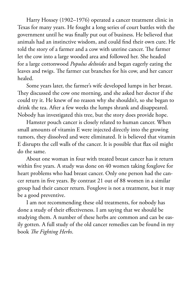Harry Hoxsey (1902–1976) operated a cancer treatment clinic in Texas for many years. He fought a long series of court battles with the government until he was finally put out of business. He believed that animals had an instinctive wisdom, and could find their own cure. He told the story of a farmer and a cow with uterine cancer. The farmer let the cow into a large wooded area and followed her. She headed for a large cottonwood *Populus deltoides* and began eagerly eating the leaves and twigs. The farmer cut branches for his cow, and her cancer healed.

Some years later, the farmer's wife developed lumps in her breast. They discussed the cow one morning, and she asked her doctor if she could try it. He knew of no reason why she shouldn't, so she began to drink the tea. After a few weeks the lumps shrank and disappeared. Nobody has investigated this tree, but the story does provide hope.

Hamster pouch cancer is closely related to human cancer. When small amounts of vitamin E were injected directly into the growing tumors, they dissolved and were eliminated. It is believed that vitamin E disrupts the cell walls of the cancer. It is possible that flax oil might do the same.

About one woman in four with treated breast cancer has it return within five years. A study was done on 40 women taking foxglove for heart problems who had breast cancer. Only one person had the cancer return in five years. By contrast 21 out of 88 women in a similar group had their cancer return. Foxglove is not a treatment, but it may be a good preventive.

I am not recommending these old treatments, for nobody has done a study of their effectiveness. I am saying that we should be studying them. A number of these herbs are common and can be easily gotten. A full study of the old cancer remedies can be found in my book *The Fighting Herbs*.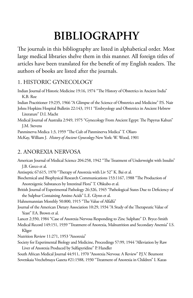## **BIBLIOGRAPHY**

The journals in this bibliography are listed in alphabetical order. Most large medical libraries shelve them in this manner. All foreign titles of articles have been translated for the benefit of my English readers. The authors of books are listed after the journals.

#### 1. HISTORIC GYNECOLOGY

Indian Journal of Historic Medicine 19:16, 1974 "The History of Obstetrics in Ancient India" K.B. Roe Indian Practitioner 19:235, 1966 "A Glimpse of the Science of Obstetrics and Medicine" P.S. Nair Johns Hopkins Hospital Bulletin 22:143, 1911 "Embryology and Obstetrics in Ancient Hebrew Literature" D.I. Macht Medical Journal of Australia 2:949, 1975 "Gynecology From Ancient Egypt: The Papyrus Kahun" J.M. Stevens Panminerva Medica 1:3, 1959 "The Cult of Panminerva Medica" T. Oliaro McKay, William J. *History of Ancient Gynecology* New York: W. Wood, 1901

#### 2. ANOREXIA NERVOSA

American Journal of Medical Science 204:258, 1942 "The Treatment of Underweight with Insulin" J.B. Greco et al.

Antiseptic 67:615, 1970 "Therapy of Anorexia with Liv 52" K. Bai et al.

Biochemical and Biophysical Research Communications 153:1167, 1988 "The Production of Anorexigenic Substances by Intestinal Flora" T. Ohkubo et al.

British Journal of Experimental Pathology 26:326, 1945 "Pathological States Due to Deficiency of the Sulphur Containing Amino Acids" L.E. Glynn et al.

Hahnemannian Monthly 50:800, 1915 "The Value of Alfalfa"

Journal of the American Dietary Association 10:29, 1934 "A Study of the Therapeutic Value of Yeast" F.A. Brown et al.

Lancet 2:350, 1984 "Case of Anorexia Nervosa Responding to Zinc Sulphate" D. Bryce-Smith

Medical Record 149:151, 1939 "Treatment of Anorexia, Malnutrition and Secondary Anemia" I.S. Kliger

Nutrition Review 11:271, 1953 "Anorexia"

Society for Experimental Biology and Medicine, Proceedings 57:99, 1944 "Alleviation by Raw Liver of Anorexia Produced by Sulfapyridine" P. Handler

South African Medical Journal 44:911, 1970 "Anorexia Nervosa: A Review" P.J.V. Beumont Sovetskaia Vrechebnaya Gazeta #21:1588, 1930 "Treatment of Anorexia in Children" I. Kazas